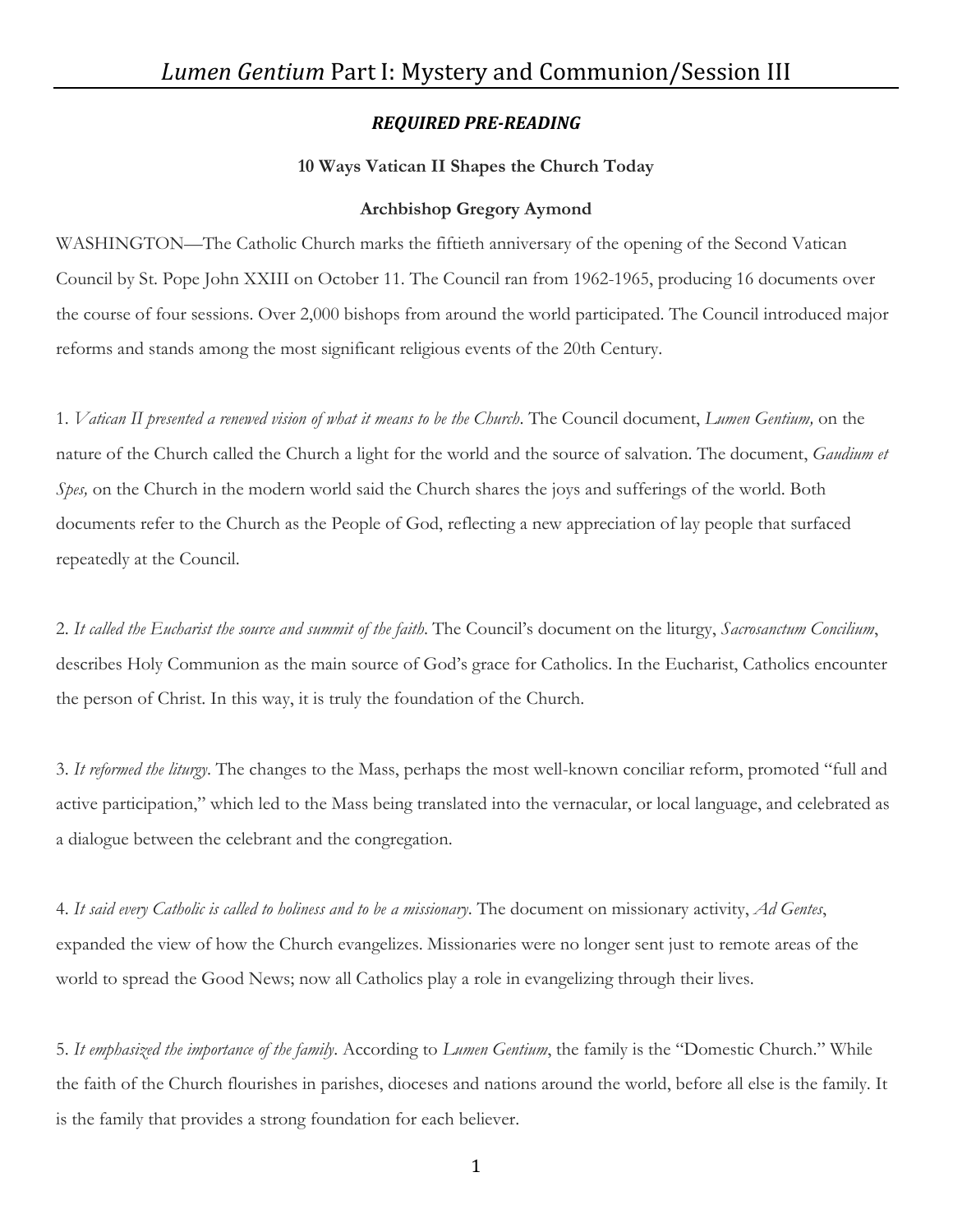# *REQUIRED PRE-READING*

### **10 Ways Vatican II Shapes the Church Today**

#### **Archbishop Gregory Aymond**

WASHINGTON—The Catholic Church marks the fiftieth anniversary of the opening of the Second Vatican Council by St. Pope John XXIII on October 11. The Council ran from 1962-1965, producing 16 documents over the course of four sessions. Over 2,000 bishops from around the world participated. The Council introduced major reforms and stands among the most significant religious events of the 20th Century.

1. *Vatican II presented a renewed vision of what it means to be the Church*. The Council document, *Lumen Gentium,* on the nature of the Church called the Church a light for the world and the source of salvation. The document, *Gaudium et Spes,* on the Church in the modern world said the Church shares the joys and sufferings of the world. Both documents refer to the Church as the People of God, reflecting a new appreciation of lay people that surfaced repeatedly at the Council.

2. *It called the Eucharist the source and summit of the faith*. The Council's document on the liturgy, *Sacrosanctum Concilium*, describes Holy Communion as the main source of God's grace for Catholics. In the Eucharist, Catholics encounter the person of Christ. In this way, it is truly the foundation of the Church.

3. *It reformed the liturgy*. The changes to the Mass, perhaps the most well-known conciliar reform, promoted "full and active participation," which led to the Mass being translated into the vernacular, or local language, and celebrated as a dialogue between the celebrant and the congregation.

4. *It said every Catholic is called to holiness and to be a missionary*. The document on missionary activity, *Ad Gentes*, expanded the view of how the Church evangelizes. Missionaries were no longer sent just to remote areas of the world to spread the Good News; now all Catholics play a role in evangelizing through their lives.

5. *It emphasized the importance of the family*. According to *Lumen Gentium*, the family is the "Domestic Church." While the faith of the Church flourishes in parishes, dioceses and nations around the world, before all else is the family. It is the family that provides a strong foundation for each believer.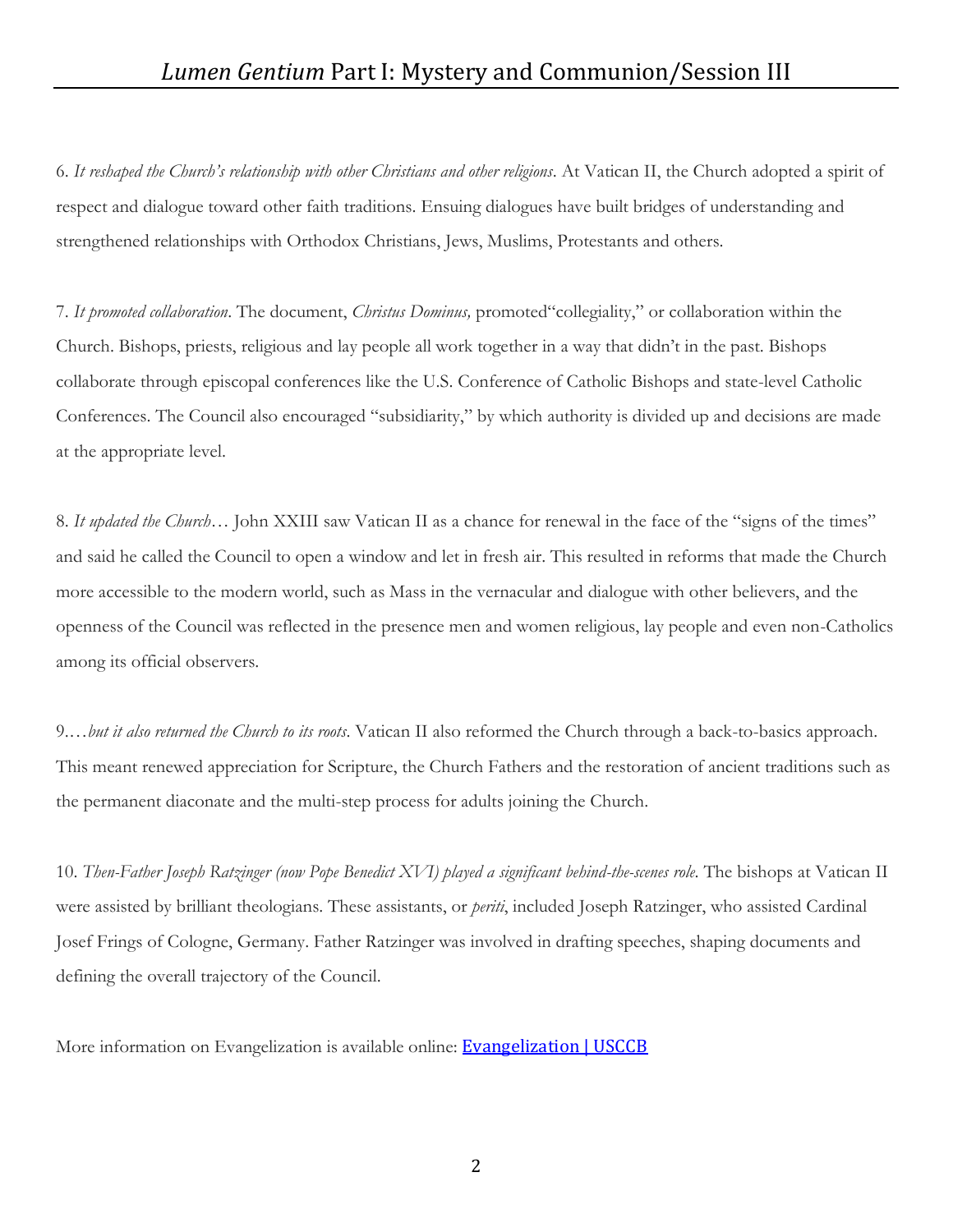6. *It reshaped the Church's relationship with other Christians and other religions*. At Vatican II, the Church adopted a spirit of respect and dialogue toward other faith traditions. Ensuing dialogues have built bridges of understanding and strengthened relationships with Orthodox Christians, Jews, Muslims, Protestants and others.

7. *It promoted collaboration*. The document, *Christus Dominus,* promoted"collegiality," or collaboration within the Church. Bishops, priests, religious and lay people all work together in a way that didn't in the past. Bishops collaborate through episcopal conferences like the U.S. Conference of Catholic Bishops and state-level Catholic Conferences. The Council also encouraged "subsidiarity," by which authority is divided up and decisions are made at the appropriate level.

8. *It updated the Church*… John XXIII saw Vatican II as a chance for renewal in the face of the "signs of the times" and said he called the Council to open a window and let in fresh air. This resulted in reforms that made the Church more accessible to the modern world, such as Mass in the vernacular and dialogue with other believers, and the openness of the Council was reflected in the presence men and women religious, lay people and even non-Catholics among its official observers.

9.*…but it also returned the Church to its roots*. Vatican II also reformed the Church through a back-to-basics approach. This meant renewed appreciation for Scripture, the Church Fathers and the restoration of ancient traditions such as the permanent diaconate and the multi-step process for adults joining the Church.

10. *Then-Father Joseph Ratzinger (now Pope Benedict XVI) played a significant behind-the-scenes role*. The bishops at Vatican II were assisted by brilliant theologians. These assistants, or *periti*, included Joseph Ratzinger, who assisted Cardinal Josef Frings of Cologne, Germany. Father Ratzinger was involved in drafting speeches, shaping documents and defining the overall trajectory of the Council.

More information on Evangelization is available online: [Evangelization | USCCB](https://www.usccb.org/committees/evangelization-catechesis/evangelization)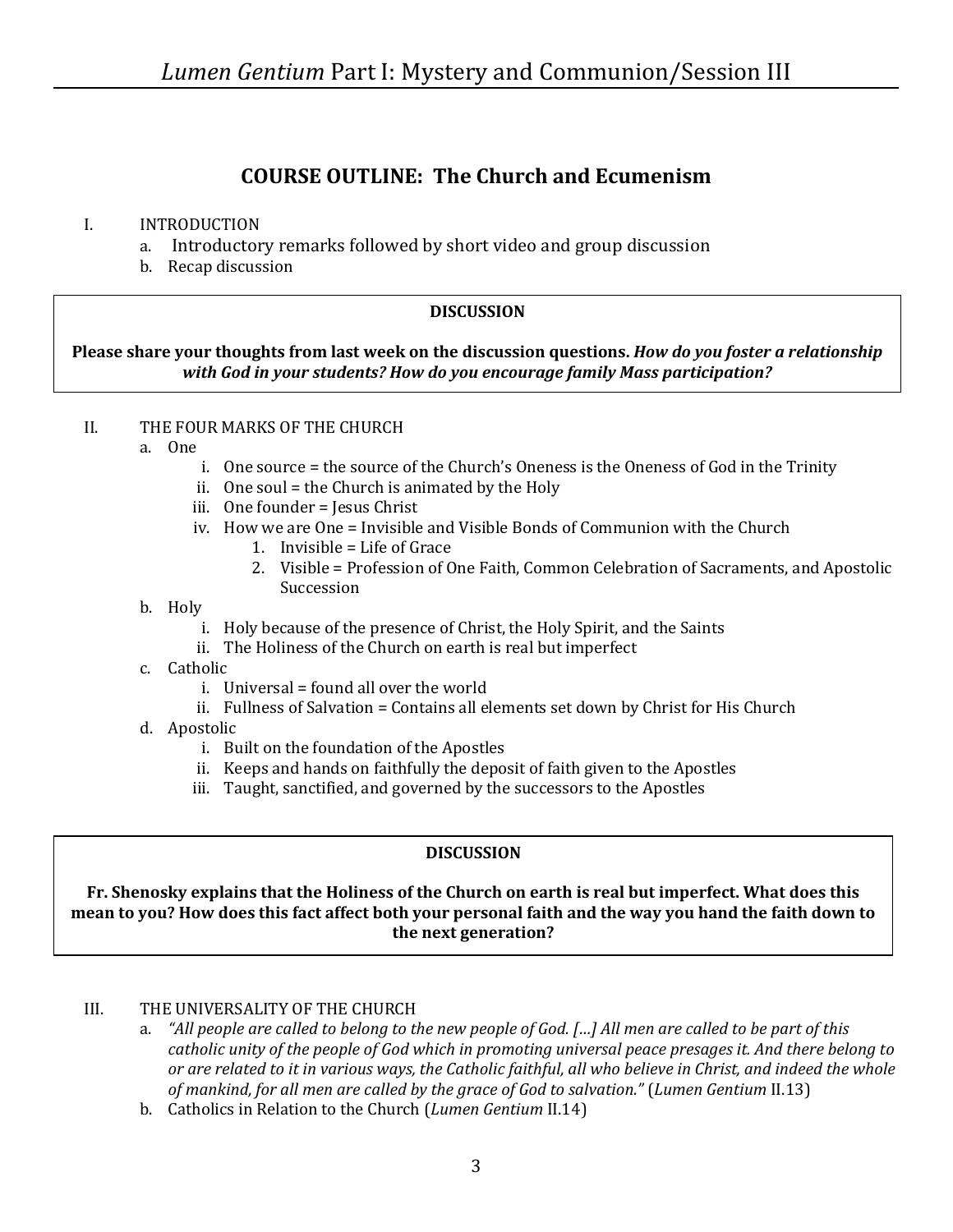# **COURSE OUTLINE: The Church and Ecumenism**

# I. INTRODUCTION

- a. Introductory remarks followed by short video and group discussion
- b. Recap discussion

# **DISCUSSION**

# **Please share your thoughts from last week on the discussion questions.** *How do you foster a relationship with God in your students? How do you encourage family Mass participation?*

# II. THE FOUR MARKS OF THE CHURCH

- a. One
	- i. One source = the source of the Church's Oneness is the Oneness of God in the Trinity
	- ii. One soul = the Church is animated by the Holy
	- iii. One founder = Jesus Christ
	- iv. How we are One = Invisible and Visible Bonds of Communion with the Church
		- 1. Invisible = Life of Grace
		- 2. Visible = Profession of One Faith, Common Celebration of Sacraments, and Apostolic Succession
- b. Holy
	- i. Holy because of the presence of Christ, the Holy Spirit, and the Saints
	- ii. The Holiness of the Church on earth is real but imperfect
- c. Catholic
	- i. Universal = found all over the world
	- ii. Fullness of Salvation = Contains all elements set down by Christ for His Church
- d. Apostolic
	- i. Built on the foundation of the Apostles
	- ii. Keeps and hands on faithfully the deposit of faith given to the Apostles
	- iii. Taught, sanctified, and governed by the successors to the Apostles

# **DISCUSSION**

#### **Fr. Shenosky explains that the Holiness of the Church on earth is real but imperfect. What does this mean to you? How does this fact affect both your personal faith and the way you hand the faith down to the next generation?**

# III. THE UNIVERSALITY OF THE CHURCH

- a. *"All people are called to belong to the new people of God. […] All men are called to be part of this catholic unity of the people of God which in promoting universal peace presages it. And there belong to or are related to it in various ways, the Catholic faithful, all who believe in Christ, and indeed the whole of mankind, for all men are called by the grace of God to salvation."* (*Lumen Gentium* II.13)
- b. Catholics in Relation to the Church (*Lumen Gentium* II.14)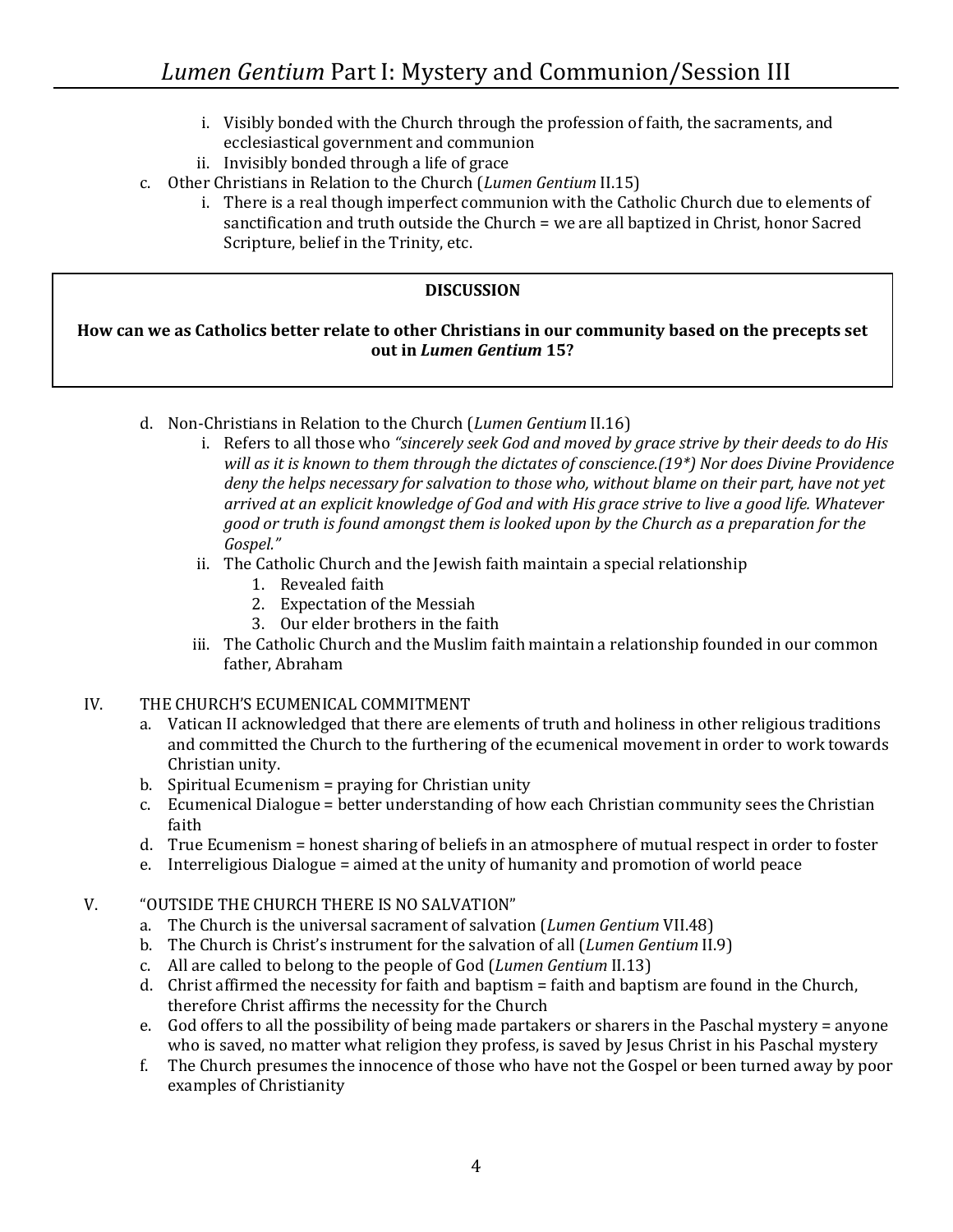- i. Visibly bonded with the Church through the profession of faith, the sacraments, and ecclesiastical government and communion
- ii. Invisibly bonded through a life of grace
- c. Other Christians in Relation to the Church (*Lumen Gentium* II.15)
	- i. There is a real though imperfect communion with the Catholic Church due to elements of sanctification and truth outside the Church = we are all baptized in Christ, honor Sacred Scripture, belief in the Trinity, etc.

# **DISCUSSION**

### **How can we as Catholics better relate to other Christians in our community based on the precepts set out in** *Lumen Gentium* **15?**

- d. Non-Christians in Relation to the Church (*Lumen Gentium* II.16)
	- i. Refers to all those who *"sincerely seek God and moved by grace strive by their deeds to do His will as it is known to them through the dictates of conscience.(19\*) Nor does Divine Providence deny the helps necessary for salvation to those who, without blame on their part, have not yet arrived at an explicit knowledge of God and with His grace strive to live a good life. Whatever good or truth is found amongst them is looked upon by the Church as a preparation for the Gospel."*
	- ii. The Catholic Church and the Jewish faith maintain a special relationship
		- 1. Revealed faith
		- 2. Expectation of the Messiah
		- 3. Our elder brothers in the faith
	- iii. The Catholic Church and the Muslim faith maintain a relationship founded in our common father, Abraham

### IV. THE CHURCH'S ECUMENICAL COMMITMENT

- a. Vatican II acknowledged that there are elements of truth and holiness in other religious traditions and committed the Church to the furthering of the ecumenical movement in order to work towards Christian unity.
- b. Spiritual Ecumenism = praying for Christian unity
- c. Ecumenical Dialogue = better understanding of how each Christian community sees the Christian faith
- d. True Ecumenism = honest sharing of beliefs in an atmosphere of mutual respect in order to foster
- e. Interreligious Dialogue = aimed at the unity of humanity and promotion of world peace

### V. "OUTSIDE THE CHURCH THERE IS NO SALVATION"

- a. The Church is the universal sacrament of salvation (*Lumen Gentium* VII.48)
- b. The Church is Christ's instrument for the salvation of all (*Lumen Gentium* II.9)
- c. All are called to belong to the people of God (*Lumen Gentium* II.13)
- d. Christ affirmed the necessity for faith and baptism = faith and baptism are found in the Church, therefore Christ affirms the necessity for the Church
- e. God offers to all the possibility of being made partakers or sharers in the Paschal mystery = anyone who is saved, no matter what religion they profess, is saved by Jesus Christ in his Paschal mystery
- f. The Church presumes the innocence of those who have not the Gospel or been turned away by poor examples of Christianity